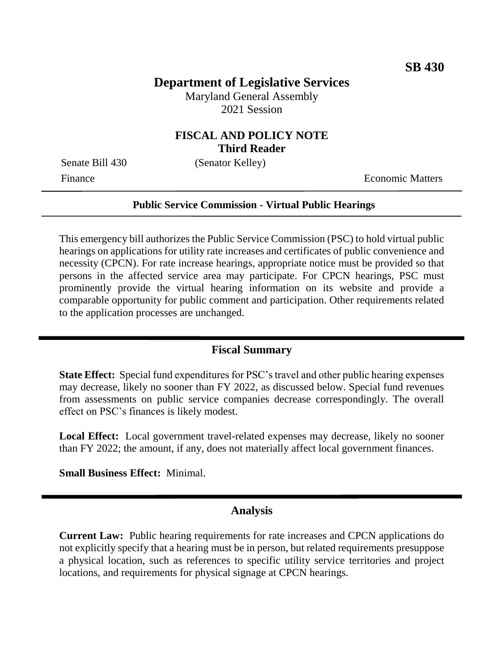# **Department of Legislative Services**

Maryland General Assembly 2021 Session

## **FISCAL AND POLICY NOTE Third Reader**

Senate Bill 430 (Senator Kelley)

Finance **Exercífical Economic Matters** 

#### **Public Service Commission - Virtual Public Hearings**

This emergency bill authorizes the Public Service Commission (PSC) to hold virtual public hearings on applications for utility rate increases and certificates of public convenience and necessity (CPCN). For rate increase hearings, appropriate notice must be provided so that persons in the affected service area may participate. For CPCN hearings, PSC must prominently provide the virtual hearing information on its website and provide a comparable opportunity for public comment and participation. Other requirements related to the application processes are unchanged.

#### **Fiscal Summary**

**State Effect:** Special fund expenditures for PSC's travel and other public hearing expenses may decrease, likely no sooner than FY 2022, as discussed below. Special fund revenues from assessments on public service companies decrease correspondingly. The overall effect on PSC's finances is likely modest.

**Local Effect:** Local government travel-related expenses may decrease, likely no sooner than FY 2022; the amount, if any, does not materially affect local government finances.

**Small Business Effect:** Minimal.

## **Analysis**

**Current Law:** Public hearing requirements for rate increases and CPCN applications do not explicitly specify that a hearing must be in person, but related requirements presuppose a physical location, such as references to specific utility service territories and project locations, and requirements for physical signage at CPCN hearings.